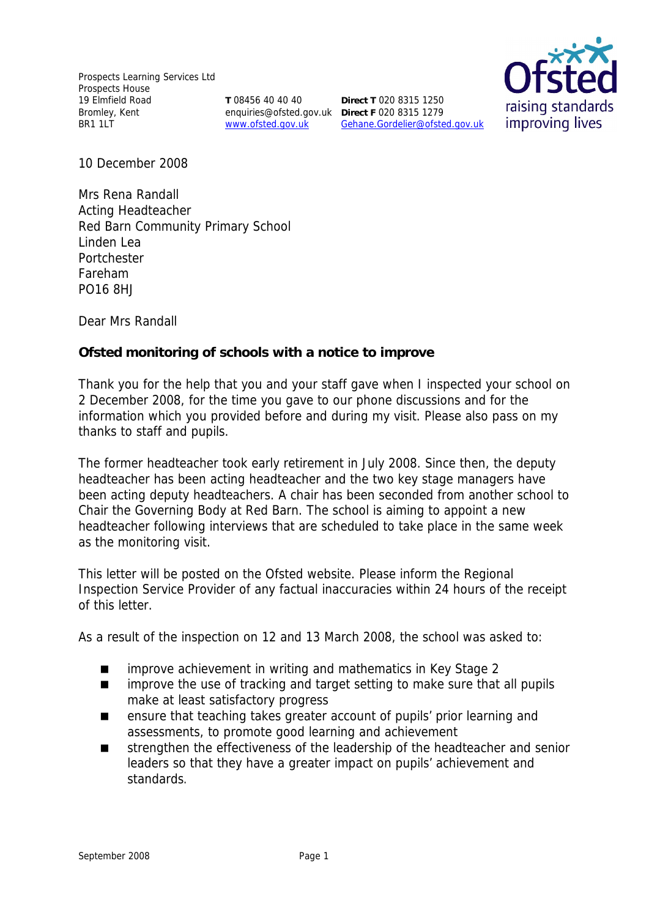Prospects Learning Services Ltd Prospects House 19 Elmfield Road Bromley, Kent BR1 1LT

**T** 08456 40 40 40 www.ofsted.gov.uk

enquiries@ofsted.gov.uk **Direct F** 020 8315 1279 **Direct T** 020 8315 1250 Gehane.Gordelier@ofsted.gov.uk



10 December 2008

Mrs Rena Randall Acting Headteacher Red Barn Community Primary School Linden Lea Portchester Fareham PO16 8HJ

Dear Mrs Randall

**Ofsted monitoring of schools with a notice to improve**

Thank you for the help that you and your staff gave when I inspected your school on 2 December 2008, for the time you gave to our phone discussions and for the information which you provided before and during my visit. Please also pass on my thanks to staff and pupils.

The former headteacher took early retirement in July 2008. Since then, the deputy headteacher has been acting headteacher and the two key stage managers have been acting deputy headteachers. A chair has been seconded from another school to Chair the Governing Body at Red Barn. The school is aiming to appoint a new headteacher following interviews that are scheduled to take place in the same week as the monitoring visit.

This letter will be posted on the Ofsted website. Please inform the Regional Inspection Service Provider of any factual inaccuracies within 24 hours of the receipt of this letter.

As a result of the inspection on 12 and 13 March 2008, the school was asked to:

- improve achievement in writing and mathematics in Key Stage 2
- **I** improve the use of tracking and target setting to make sure that all pupils make at least satisfactory progress
- ensure that teaching takes greater account of pupils' prior learning and assessments, to promote good learning and achievement
- strengthen the effectiveness of the leadership of the headteacher and senior leaders so that they have a greater impact on pupils' achievement and standards.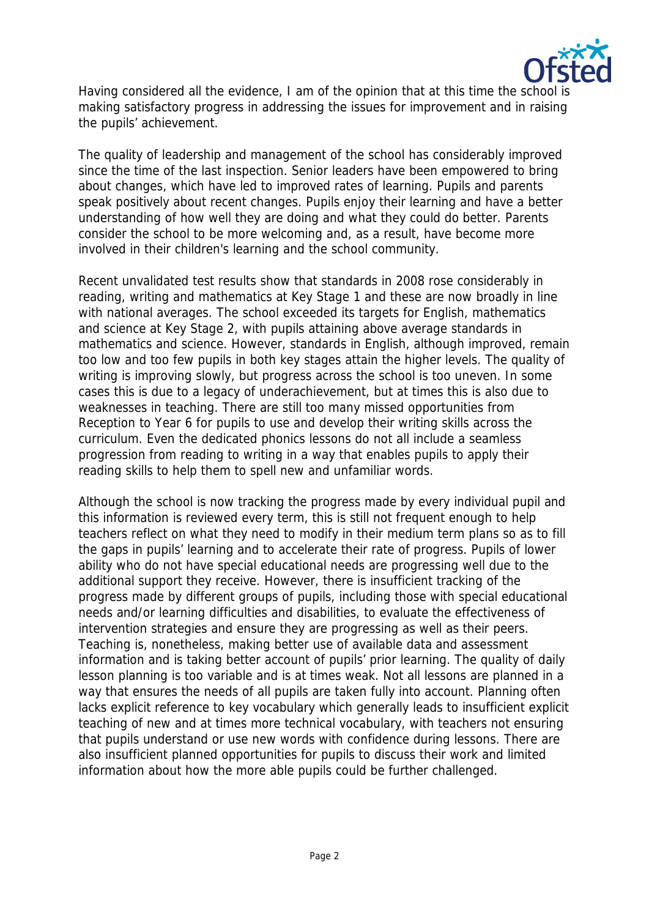

Having considered all the evidence, I am of the opinion that at this time the school is making satisfactory progress in addressing the issues for improvement and in raising the pupils' achievement.

The quality of leadership and management of the school has considerably improved since the time of the last inspection. Senior leaders have been empowered to bring about changes, which have led to improved rates of learning. Pupils and parents speak positively about recent changes. Pupils enjoy their learning and have a better understanding of how well they are doing and what they could do better. Parents consider the school to be more welcoming and, as a result, have become more involved in their children's learning and the school community.

Recent unvalidated test results show that standards in 2008 rose considerably in reading, writing and mathematics at Key Stage 1 and these are now broadly in line with national averages. The school exceeded its targets for English, mathematics and science at Key Stage 2, with pupils attaining above average standards in mathematics and science. However, standards in English, although improved, remain too low and too few pupils in both key stages attain the higher levels. The quality of writing is improving slowly, but progress across the school is too uneven. In some cases this is due to a legacy of underachievement, but at times this is also due to weaknesses in teaching. There are still too many missed opportunities from Reception to Year 6 for pupils to use and develop their writing skills across the curriculum. Even the dedicated phonics lessons do not all include a seamless progression from reading to writing in a way that enables pupils to apply their reading skills to help them to spell new and unfamiliar words.

Although the school is now tracking the progress made by every individual pupil and this information is reviewed every term, this is still not frequent enough to help teachers reflect on what they need to modify in their medium term plans so as to fill the gaps in pupils' learning and to accelerate their rate of progress. Pupils of lower ability who do not have special educational needs are progressing well due to the additional support they receive. However, there is insufficient tracking of the progress made by different groups of pupils, including those with special educational needs and/or learning difficulties and disabilities, to evaluate the effectiveness of intervention strategies and ensure they are progressing as well as their peers. Teaching is, nonetheless, making better use of available data and assessment information and is taking better account of pupils' prior learning. The quality of daily lesson planning is too variable and is at times weak. Not all lessons are planned in a way that ensures the needs of all pupils are taken fully into account. Planning often lacks explicit reference to key vocabulary which generally leads to insufficient explicit teaching of new and at times more technical vocabulary, with teachers not ensuring that pupils understand or use new words with confidence during lessons. There are also insufficient planned opportunities for pupils to discuss their work and limited information about how the more able pupils could be further challenged.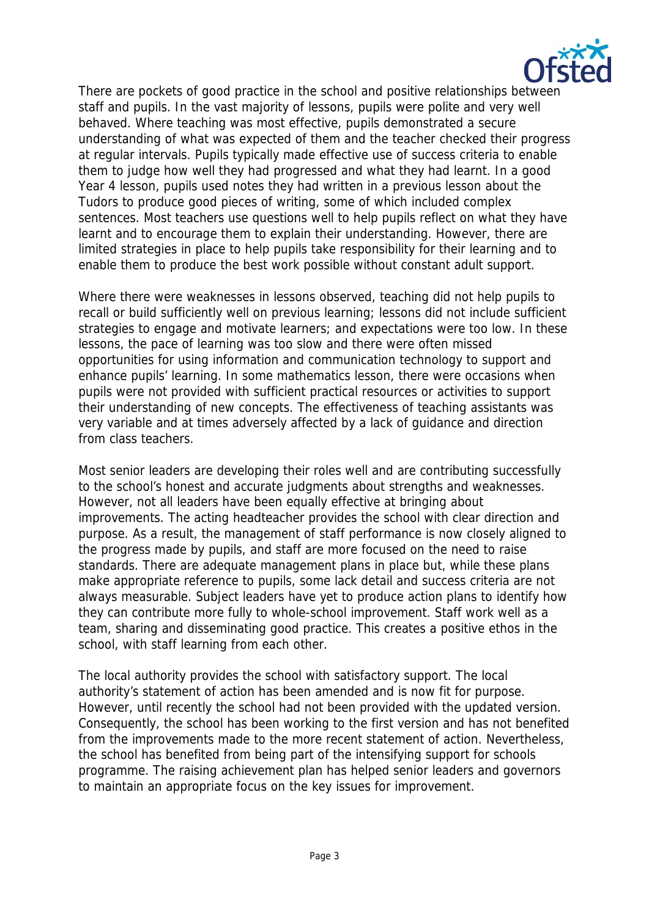

There are pockets of good practice in the school and positive relationships between staff and pupils. In the vast majority of lessons, pupils were polite and very well behaved. Where teaching was most effective, pupils demonstrated a secure understanding of what was expected of them and the teacher checked their progress at regular intervals. Pupils typically made effective use of success criteria to enable them to judge how well they had progressed and what they had learnt. In a good Year 4 lesson, pupils used notes they had written in a previous lesson about the Tudors to produce good pieces of writing, some of which included complex sentences. Most teachers use questions well to help pupils reflect on what they have learnt and to encourage them to explain their understanding. However, there are limited strategies in place to help pupils take responsibility for their learning and to enable them to produce the best work possible without constant adult support.

Where there were weaknesses in lessons observed, teaching did not help pupils to recall or build sufficiently well on previous learning; lessons did not include sufficient strategies to engage and motivate learners; and expectations were too low. In these lessons, the pace of learning was too slow and there were often missed opportunities for using information and communication technology to support and enhance pupils' learning. In some mathematics lesson, there were occasions when pupils were not provided with sufficient practical resources or activities to support their understanding of new concepts. The effectiveness of teaching assistants was very variable and at times adversely affected by a lack of guidance and direction from class teachers.

Most senior leaders are developing their roles well and are contributing successfully to the school's honest and accurate judgments about strengths and weaknesses. However, not all leaders have been equally effective at bringing about improvements. The acting headteacher provides the school with clear direction and purpose. As a result, the management of staff performance is now closely aligned to the progress made by pupils, and staff are more focused on the need to raise standards. There are adequate management plans in place but, while these plans make appropriate reference to pupils, some lack detail and success criteria are not always measurable. Subject leaders have yet to produce action plans to identify how they can contribute more fully to whole-school improvement. Staff work well as a team, sharing and disseminating good practice. This creates a positive ethos in the school, with staff learning from each other.

The local authority provides the school with satisfactory support. The local authority's statement of action has been amended and is now fit for purpose. However, until recently the school had not been provided with the updated version. Consequently, the school has been working to the first version and has not benefited from the improvements made to the more recent statement of action. Nevertheless, the school has benefited from being part of the intensifying support for schools programme. The raising achievement plan has helped senior leaders and governors to maintain an appropriate focus on the key issues for improvement.